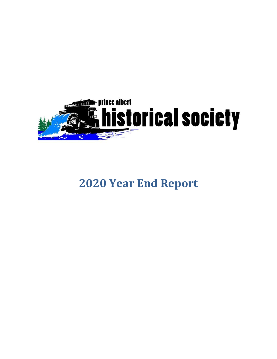

# **Year End Report**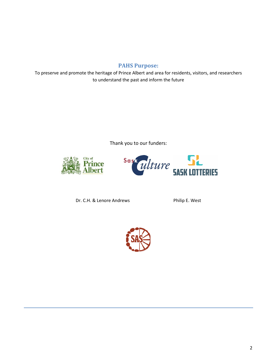## **PAHS Purpose:**

To preserve and promote the heritage of Prince Albert and area for residents, visitors, and researchers to understand the past and inform the future

Thank you to our funders:





Dr. C.H. & Lenore Andrews **Philip E. West** 

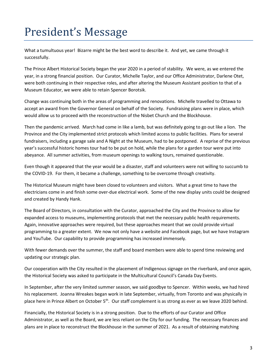# President's Message

What a tumultuous year! Bizarre might be the best word to describe it. And yet, we came through it successfully.

The Prince Albert Historical Society began the year 2020 in a period of stability. We were, as we entered the year, in a strong financial position. Our Curator, Michelle Taylor, and our Office Administrator, Darlene Otet, were both continuing in their respective roles, and after altering the Museum Assistant position to that of a Museum Educator, we were able to retain Spencer Borotsik.

Change was continuing both in the areas of programming and renovations. Michelle travelled to Ottawa to accept an award from the Governor General on behalf of the Society. Fundraising plans were in place, which would allow us to proceed with the reconstruction of the Nisbet Church and the Blockhouse.

Then the pandemic arrived. March had come in like a lamb, but was definitely going to go out like a lion. The Province and the City implemented strict protocols which limited access to public facilities. Plans for several fundraisers, including a garage sale and A Night at the Museum, had to be postponed. A reprise of the previous year's successful historic homes tour had to be put on hold, while the plans for a garden tour were put into abeyance. All summer activities, from museum openings to walking tours, remained questionable.

Even though it appeared that the year would be a disaster, staff and volunteers were not willing to succumb to the COVID-19. For them, it became a challenge, something to be overcome through creativity.

The Historical Museum might have been closed to volunteers and visitors. What a great time to have the electricians come in and finish some over-due electrical work. Some of the new display units could be designed and created by Handy Hank.

The Board of Directors, in consultation with the Curator, approached the City and the Province to allow for expanded access to museums, implementing protocols that met the necessary public health requirements. Again, innovative approaches were required, but these approaches meant that we could provide virtual programming to a greater extent. We now not only have a website and Facebook page, but we have Instagram and YouTube. Our capability to provide programming has increased immensely.

With fewer demands over the summer, the staff and board members were able to spend time reviewing and updating our strategic plan.

Our cooperation with the City resulted in the placement of Indigenous signage on the riverbank, and once again, the Historical Society was asked to participate in the Multicultural Council's Canada Day Events.

In September, after the very limited summer season, we said goodbye to Spencer. Within weeks, we had hired his replacement. Joanna Wreakes began work in late September, virtually, from Toronto and was physically in place here in Prince Albert on October  $5<sup>th</sup>$ . Our staff complement is as strong as ever as we leave 2020 behind.

Financially, the Historical Society is in a strong position. Due to the efforts of our Curator and Office Administrator, as well as the Board, we are less reliant on the City for our funding. The necessary finances and plans are in place to reconstruct the Blockhouse in the summer of 2021. As a result of obtaining matching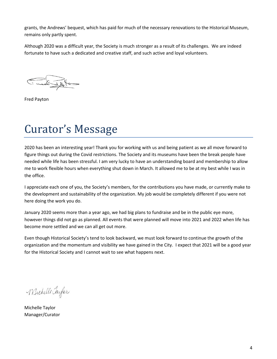grants, the Andrews' bequest, which has paid for much of the necessary renovations to the Historical Museum, remains only partly spent.

Although 2020 was a difficult year, the Society is much stronger as a result of its challenges. We are indeed fortunate to have such a dedicated and creative staff, and such active and loyal volunteers.

Fred Payton

# Curator's Message

2020 has been an interesting year! Thank you for working with us and being patient as we all move forward to figure things out during the Covid restrictions. The Society and its museums have been the break people have needed while life has been stressful. I am very lucky to have an understanding board and membership to allow me to work flexible hours when everything shut down in March. It allowed me to be at my best while I was in the office.

I appreciate each one of you, the Society's members, for the contributions you have made, or currently make to the development and sustainability of the organization. My job would be completely different if you were not here doing the work you do.

January 2020 seems more than a year ago, we had big plans to fundraise and be in the public eye more, however things did not go as planned. All events that were planned will move into 2021 and 2022 when life has become more settled and we can all get out more.

Even though Historical Society's tend to look backward, we must look forward to continue the growth of the organization and the momentum and visibility we have gained in the City. I expect that 2021 will be a good year for the Historical Society and I cannot wait to see what happens next.

Michelle Jaylor

Michelle Taylor Manager/Curator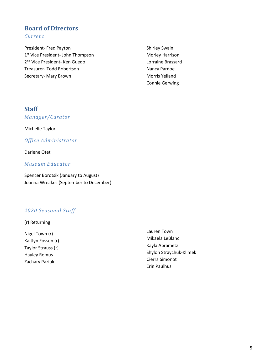## **Board of Directors** *Current*

President- Fred Payton 1<sup>st</sup> Vice President- John Thompson 2nd Vice President- Ken Guedo Treasurer- Todd Robertson Secretary- Mary Brown

Shirley Swain Morley Harrison Lorraine Brassard Nancy Pardoe Morris Yelland Connie Gerwing

## **Staff**

*Manager/Curator*

Michelle Taylor

*Office Administrator* 

Darlene Otet

### *Museum Educator*

Spencer Borotsik (January to August) Joanna Wreakes (September to December)

## *2020 Seasonal Staff*

(r) Returning

Nigel Town (r) Kaitlyn Fossen (r) Taylor Strauss (r) Hayley Remus Zachary Paziuk

Lauren Town Mikaela LeBlanc Kayla Abrametz Shyloh Straychuk-Klimek Cierra Simonot Erin Paulhus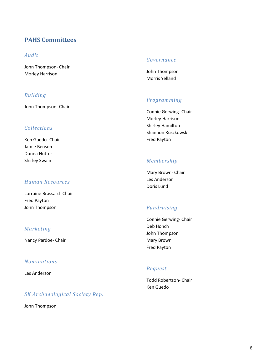## **PAHS Committees**

### *Audit*

John Thompson- Chair Morley Harrison

### *Building*

John Thompson- Chair

### *Collections*

Ken Guedo- Chair Jamie Benson Donna Nutter Shirley Swain

### *Human Resources*

Lorraine Brassard- Chair Fred Payton John Thompson

### *Marketing*

Nancy Pardoe- Chair

### *Nominations*

Les Anderson

## *SK Archaeological Society Rep.*

John Thompson

### *Governance*

John Thompson Morris Yelland

### *Programming*

Connie Gerwing- Chair Morley Harrison Shirley Hamilton Shannon Ruszkowski Fred Payton

### *Membership*

Mary Brown- Chair Les Anderson Doris Lund

### *Fundraising*

Connie Gerwing- Chair Deb Honch John Thompson Mary Brown Fred Payton

#### *Bequest*

Todd Robertson- Chair Ken Guedo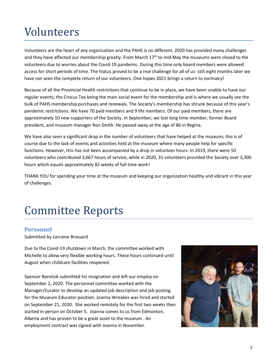# Volunteers

Volunteers are the heart of any organization and the PAHS is no different. 2020 has provided many challenges and they have affected our membership greatly. From March  $17<sup>th</sup>$  to mid May the museums were closed to the volunteers due to worries about the Covid-19 pandemic. During this time only board members were allowed access for short periods of time. The hiatus proved to be a real challenge for all of us- still eight months later we have not seen the complete return of our volunteers. One hopes 2021 brings a return to normalcy!

Because of all the Provincial Health restrictions that continue to be in place, we have been unable to have our regular events; the Crocus Tea being the main social event for the membership and is where we usually see the bulk of PAHS membership purchases and renewals. The Society's membership has shrunk because of this year's pandemic restrictions. We have 70 paid members and 9 life members. Of our paid members, there are approximately 10 new supporters of the Society. In September, we lost long time member, former Board president, and museum manager Ron Smith. He passed away at the age of 86 in Regina.

We have also seen a significant drop in the number of volunteers that have helped at the museum; this is of course due to the lack of events and activities held at the museum where many people help for specific functions. However, this has not been accompanied by a drop in volunteer hours. In 2019, there were 50 volunteers who contributed 3,667 hours of service, while in 2020, 31 volunteers provided the Society over 3,300 hours which equals approximately 82 weeks of full time work!

THANK YOU for spending your time at the museum and keeping our organization healthy and vibrant in this year of challenges.

# Committee Reports

## **Personnel**

Submitted by Lorraine Brassard

Due to the Covid-19 shutdown in March, the committee worked with Michelle to allow very flexible working hours. These hours continued until August when childcare facilities reopened.

Spencer Borotsik submitted his resignation and left our employ on September 2, 2020. The personnel committee worked with the Manager/Curator to develop an updated job description and job posting for the Museum Educator position. Joanna Wreakes was hired and started on September 21, 2020. She worked remotely for the first two weeks then started in person on October 5. Joanna comes to us from Edmonton, Alberta and has proven to be a great asset to the museum. An employment contract was signed with Joanna in November.

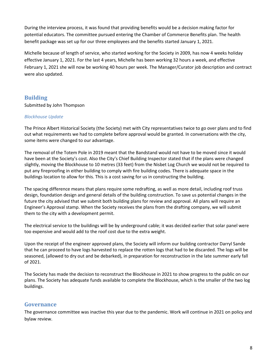During the interview process, it was found that providing benefits would be a decision making factor for potential educators. The committee pursued entering the Chamber of Commerce Benefits plan. The health benefit package was set up for our three employees and the benefits started January 1, 2021.

Michelle because of length of service, who started working for the Society in 2009, has now 4 weeks holiday effective January 1, 2021. For the last 4 years, Michelle has been working 32 hours a week, and effective February 1, 2021 she will now be working 40 hours per week. The Manager/Curator job description and contract were also updated.

## **Building**

Submitted by John Thompson

#### *Blockhouse Update*

The Prince Albert Historical Society (the Society) met with City representatives twice to go over plans and to find out what requirements we had to complete before approval would be granted. In conversations with the city, some items were changed to our advantage.

The removal of the Totem Pole in 2019 meant that the Bandstand would not have to be moved since it would have been at the Society's cost. Also the City's Chief Building Inspector stated that if the plans were changed slightly, moving the Blockhouse to 10 metres (33 feet) from the Nisbet Log Church we would not be required to put any fireproofing in either building to comply with fire building codes. There is adequate space in the buildings location to allow for this. This is a cost saving for us in constructing the building.

The spacing difference means that plans require some redrafting, as well as more detail, including roof truss design, foundation design and general details of the building construction. To save us potential changes in the future the city advised that we submit both building plans for review and approval. All plans will require an Engineer's Approval stamp. When the Society receives the plans from the drafting company, we will submit them to the city with a development permit.

The electrical service to the buildings will be by underground cable; it was decided earlier that solar panel were too expensive and would add to the roof cost due to the extra weight.

Upon the receipt of the engineer approved plans, the Society will inform our building contractor Darryl Sande that he can proceed to have logs harvested to replace the rotten logs that had to be discarded. The logs will be seasoned, (allowed to dry out and be debarked), in preparation for reconstruction in the late summer early fall of 2021.

The Society has made the decision to reconstruct the Blockhouse in 2021 to show progress to the public on our plans. The Society has adequate funds available to complete the Blockhouse, which is the smaller of the two log buildings.

### **Governance**

The governance committee was inactive this year due to the pandemic. Work will continue in 2021 on policy and bylaw review.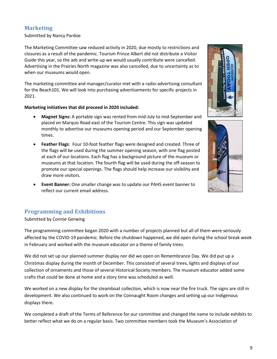## **Marketing**

#### Submitted by Nancy Pardoe

The Marketing Committee saw reduced activity in 2020, due mostly to restrictions and closures as a result of the pandemic. Tourism Prince Albert did not distribute a Visitor Guide this year, so the ads and write-up we would usually contribute were cancelled. Advertising in the Prairies North magazine was also cancelled, due to uncertainty as to when our museums would open.

The marketing committee and manager/curator met with a radio-advertising consultant for the Beach101. We will look into purchasing advertisements for specific projects in 2021.

#### **Marketing initiatives that did proceed in 2020 included:**

- **Magnet Signs:** A portable sign was rented from mid-July to mid-September and placed on Marquis Road east of the Tourism Centre. This sign was updated monthly to advertise our museums opening period and our September opening times.
- **Feather Flags**: Four 10-foot feather flags were designed and created. Three of the flags will be used during the summer opening season, with one flag posted at each of our locations. Each flag has a background picture of the museum or museums at that location. The fourth flag will be used during the off-season to promote our special openings. The flags should help increase our visibility and draw more visitors.
- **Event Banner:** One smaller change was to update our PAHS event banner to reflect our current email address.

## **Programming and Exhibitions**

Submitted by Connie Gerwing

The programming committee began 2020 with a number of projects planned but all of them were seriously affected by the COVID-19 pandemic. Before the shutdown happened, we did open during the school break week in February and worked with the museum educator on a theme of family trees.

We did not set up our planned summer display nor did we open on Remembrance Day. We did put up a Christmas display during the month of December. This consisted of several trees, lights and displays of our collection of ornaments and those of several Historical Society members. The museum educator added some crafts that could be done at home and a story time was scheduled as well.

We worked on a new display for the steamboat collection, which is now near the fire truck. The signs are still in development. We also continued to work on the Connaught Room changes and setting up our Indigenous displays there.

We completed a draft of the Terms of Reference for our committee and changed the name to include exhibits to better reflect what we do on a regular basis. Two committee members took the Museum's Association of



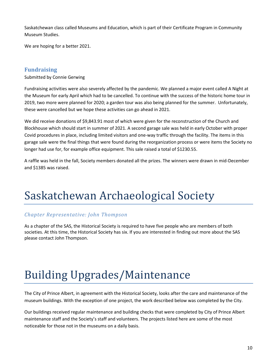Saskatchewan class called Museums and Education, which is part of their Certificate Program in Community Museum Studies.

We are hoping for a better 2021.

### **Fundraising**

Submitted by Connie Gerwing

Fundraising activities were also severely affected by the pandemic. We planned a major event called A Night at the Museum for early April which had to be cancelled. To continue with the success of the historic home tour in 2019, two more were planned for 2020; a garden tour was also being planned for the summer. Unfortunately, these were cancelled but we hope these activities can go ahead in 2021.

We did receive donations of \$9,843.91 most of which were given for the reconstruction of the Church and Blockhouse which should start in summer of 2021. A second garage sale was held in early October with proper Covid procedures in place, including limited visitors and one-way traffic through the facility. The items in this garage sale were the final things that were found during the reorganization process or were items the Society no longer had use for, for example office equipment. This sale raised a total of \$1230.55.

A raffle was held in the fall, Society members donated all the prizes. The winners were drawn in mid-December and \$1385 was raised.

# Saskatchewan Archaeological Society

## *Chapter Representative: John Thompson*

As a chapter of the SAS, the Historical Society is required to have five people who are members of both societies. At this time, the Historical Society has six. If you are interested in finding out more about the SAS please contact John Thompson.

# Building Upgrades/Maintenance

The City of Prince Albert, in agreement with the Historical Society, looks after the care and maintenance of the museum buildings. With the exception of one project, the work described below was completed by the City.

Our buildings received regular maintenance and building checks that were completed by City of Prince Albert maintenance staff and the Society's staff and volunteers. The projects listed here are some of the most noticeable for those not in the museums on a daily basis.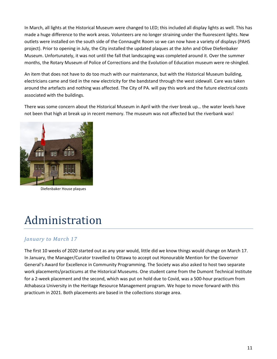In March, all lights at the Historical Museum were changed to LED; this included all display lights as well. This has made a huge difference to the work areas. Volunteers are no longer straining under the fluorescent lights. New outlets were installed on the south side of the Connaught Room so we can now have a variety of displays (PAHS project). Prior to opening in July, the City installed the updated plaques at the John and Olive Diefenbaker Museum. Unfortunately, it was not until the fall that landscaping was completed around it. Over the summer months, the Rotary Museum of Police of Corrections and the Evolution of Education museum were re-shingled.

An item that does not have to do too much with our maintenance, but with the Historical Museum building, electricians came and tied in the new electricity for the bandstand through the west sidewall. Care was taken around the artefacts and nothing was affected. The City of PA. will pay this work and the future electrical costs associated with the buildings.

There was some concern about the Historical Museum in April with the river break up… the water levels have not been that high at break up in recent memory. The museum was not affected but the riverbank was!



Diefenbaker House plaques

# Administration

## *January to March 17*

The first 10 weeks of 2020 started out as any year would, little did we know things would change on March 17. In January, the Manager/Curator travelled to Ottawa to accept out Honourable Mention for the Governor General's Award for Excellence in Community Programming. The Society was also asked to host two separate work placements/practicums at the Historical Museums. One student came from the Dumont Technical Institute for a 2-week placement and the second, which was put on hold due to Covid, was a 500-hour practicum from Athabasca University in the Heritage Resource Management program. We hope to move forward with this practicum in 2021. Both placements are based in the collections storage area.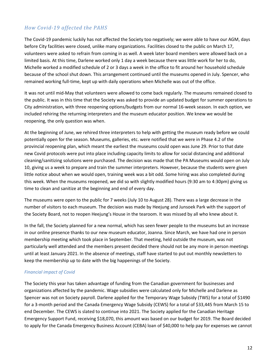## *How Covid-19 affected the PAHS*

The Covid-19 pandemic luckily has not affected the Society too negatively; we were able to have our AGM, days before City facilities were closed, unlike many organizations. Facilities closed to the public on March 17, volunteers were asked to refrain from coming in as well. A week later board members were allowed back on a limited basis. At this time, Darlene worked only 1 day a week because there was little work for her to do, Michelle worked a modified schedule of 2 or 3 days a week in the office to fit around her household schedule because of the school shut down. This arrangement continued until the museums opened in July. Spencer, who remained working full-time, kept up with daily operations when Michelle was out of the office.

It was not until mid-May that volunteers were allowed to come back regularly. The museums remained closed to the public. It was in this time that the Society was asked to provide an updated budget for summer operations to City administration, with three reopening options/budgets from our normal 16-week season. In each option, we included rehiring the returning interpreters and the museum educator position. We knew we would be reopening, the only question was when.

At the beginning of June, we rehired three interpreters to help with getting the museum ready before we could potentially open for the season. Museums, galleries, etc. were notified that we were in Phase 4.2 of the provincial reopening plan, which meant the earliest the museums could open was June 29. Prior to that date new Covid protocols were put into place including capacity limits to allow for social distancing and additional cleaning/sanitizing solutions were purchased. The decision was made that the PA Museums would open on July 10, giving us a week to prepare and train the summer interpreters. However, because the students were given little notice about when we would open, training week was a bit odd. Some hiring was also completed during this week. When the museums reopened, we did so with slightly modified hours (9:30 am to 4:30pm) giving us time to clean and sanitize at the beginning and end of every day.

The museums were open to the public for 7 weeks (July 10 to August 28). There was a large decrease in the number of visitors to each museum. The decision was made by Heejung and Junsoek Park with the support of the Society Board, not to reopen Heejung's House in the tearoom. It was missed by all who knew about it.

In the fall, the Society planned for a new normal, which has seen fewer people to the museums but an increase in our online presence thanks to our new museum educator, Joanna. Since March, we have had one in person membership meeting which took place in September. That meeting, held outside the museum, was not particularly well attended and the members present decided there should not be any more in person meetings until at least January 2021. In the absence of meetings, staff have started to put out monthly newsletters to keep the membership up to date with the big happenings of the Society.

#### *Financial impact of Covid*

The Society this year has taken advantage of funding from the Canadian government for businesses and organizations affected by the pandemic. Wage subsidies were calculated only for Michelle and Darlene as Spencer was not on Society payroll. Darlene applied for the Temporary Wage Subsidy (TWS) for a total of \$1490 for a 3-month period and the Canada Emergency Wage Subsidy (CEWS) for a total of \$33,445 from March 15 to end December. The CEWS is slated to continue into 2021. The Society applied for the Canadian Heritage Emergency Support Fund, receiving \$18,070, this amount was based on our budget for 2019. The Board decided to apply for the Canada Emergency Business Account (CEBA) loan of \$40,000 to help pay for expenses we cannot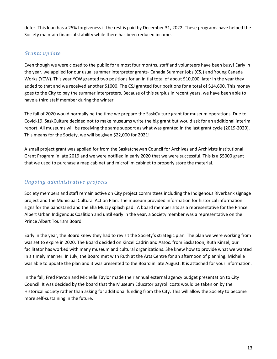defer. This loan has a 25% forgiveness if the rest is paid by December 31, 2022. These programs have helped the Society maintain financial stability while there has been reduced income.

## *Grants update*

Even though we were closed to the public for almost four months, staff and volunteers have been busy! Early in the year, we applied for our usual summer interpreter grants- Canada Summer Jobs (CSJ) and Young Canada Works (YCW). This year YCW granted two positions for an initial total of about \$10,000, later in the year they added to that and we received another \$1000. The CSJ granted four positions for a total of \$14,600. This money goes to the City to pay the summer interpreters. Because of this surplus in recent years, we have been able to have a third staff member during the winter.

The fall of 2020 would normally be the time we prepare the SaskCulture grant for museum operations. Due to Covid-19, SaskCulture decided not to make museums write the big grant but would ask for an additional interim report. All museums will be receiving the same support as what was granted in the last grant cycle (2019-2020). This means for the Society, we will be given \$22,000 for 2021!

A small project grant was applied for from the Saskatchewan Council for Archives and Archivists Institutional Grant Program in late 2019 and we were notified in early 2020 that we were successful. This is a \$5000 grant that we used to purchase a map cabinet and microfilm cabinet to properly store the material.

## *Ongoing administrative projects*

Society members and staff remain active on City project committees including the Indigenous Riverbank signage project and the Municipal Cultural Action Plan. The museum provided information for historical information signs for the bandstand and the Ella Muzzy splash pad. A board member sits as a representative for the Prince Albert Urban Indigenous Coalition and until early in the year, a Society member was a representative on the Prince Albert Tourism Board.

Early in the year, the Board knew they had to revisit the Society's strategic plan. The plan we were working from was set to expire in 2020. The Board decided on Kinzel Cadrin and Assoc. from Saskatoon, Ruth Kinzel, our facilitator has worked with many museum and cultural organizations. She knew how to provide what we wanted in a timely manner. In July, the Board met with Ruth at the Arts Centre for an afternoon of planning. Michelle was able to update the plan and it was presented to the Board in late August. It is attached for your information.

In the fall, Fred Payton and Michelle Taylor made their annual external agency budget presentation to City Council. It was decided by the board that the Museum Educator payroll costs would be taken on by the Historical Society rather than asking for additional funding from the City. This will allow the Society to become more self-sustaining in the future.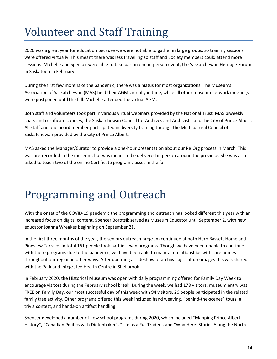# Volunteer and Staff Training

2020 was a great year for education because we were not able to gather in large groups, so training sessions were offered virtually. This meant there was less travelling so staff and Society members could attend more sessions. Michelle and Spencer were able to take part in one in-person event, the Saskatchewan Heritage Forum in Saskatoon in February.

During the first few months of the pandemic, there was a hiatus for most organizations. The Museums Association of Saskatchewan (MAS) held their AGM virtually in June, while all other museum network meetings were postponed until the fall. Michelle attended the virtual AGM.

Both staff and volunteers took part in various virtual webinars provided by the National Trust, MAS biweekly chats and certificate courses, the Saskatchewan Council for Archives and Archivists, and the City of Prince Albert. All staff and one board member participated in diversity training through the Multicultural Council of Saskatchewan provided by the City of Prince Albert.

MAS asked the Manager/Curator to provide a one-hour presentation about our Re:Org process in March. This was pre-recorded in the museum, but was meant to be delivered in person around the province. She was also asked to teach two of the online Certificate program classes in the fall.

# Programming and Outreach

With the onset of the COVID-19 pandemic the programming and outreach has looked different this year with an increased focus on digital content. Spencer Borotsik served as Museum Educator until September 2, with new educator Joanna Wreakes beginning on September 21.

In the first three months of the year, the seniors outreach program continued at both Herb Bassett Home and Pineview Terrace. In total 161 people took part in seven programs. Though we have been unable to continue with these programs due to the pandemic, we have been able to maintain relationships with care homes throughout our region in other ways. After updating a slideshow of archival agriculture images this was shared with the Parkland Integrated Health Centre in Shellbrook.

In February 2020, the Historical Museum was open with daily programming offered for Family Day Week to encourage visitors during the February school break. During the week, we had 178 visitors; museum entry was FREE on Family Day, our most successful day of this week with 94 visitors. 26 people participated in the related family tree activity. Other programs offered this week included hand weaving, "behind-the-scenes" tours, a trivia contest, and hands-on artifact handling.

Spencer developed a number of new school programs during 2020, which included "Mapping Prince Albert History", "Canadian Politics with Diefenbaker", "Life as a Fur Trader", and "Why Here: Stories Along the North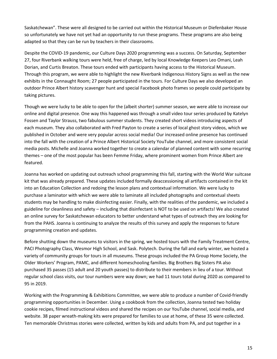Saskatchewan". These were all designed to be carried out within the Historical Museum or Diefenbaker House so unfortunately we have not yet had an opportunity to run these programs. These programs are also being adapted so that they can be run by teachers in their classrooms.

Despite the COVID-19 pandemic, our Culture Days 2020 programming was a success. On Saturday, September 27, four Riverbank walking tours were held, free of charge, led by local Knowledge Keepers Leo Omani, Leah Dorian, and Curtis Breaton. These tours ended with participants having access to the Historical Museum. Through this program, we were able to highlight the new Riverbank Indigenous History Signs as well as the new exhibits in the Connaught Room; 27 people participated in the tours. For Culture Days we also developed an outdoor Prince Albert history scavenger hunt and special Facebook photo frames so people could participate by taking pictures.

Though we were lucky to be able to open for the (albeit shorter) summer season, we were able to increase our online and digital presence. One way this happened was through a small video tour series produced by Katelyn Fossen and Taylor Strauss, two fabulous summer students. They created short videos introducing aspects of each museum. They also collaborated with Fred Payton to create a series of local ghost story videos, which we published in October and were very popular across social media! Our increased online presence has continued into the fall with the creation of a Prince Albert Historical Society YouTube channel, and more consistent social media posts. Michelle and Joanna worked together to create a calendar of planned content with some recurring themes – one of the most popular has been Femme Friday, where prominent women from Prince Albert are featured.

Joanna has worked on updating out outreach school programming this fall, starting with the World War suitcase kit that was already prepared. These updates included formally deaccessioning all artifacts contained in the kit into an Education Collection and redoing the lesson plans and contextual information. We were lucky to purchase a laminator with which we were able to laminate all included photographs and contextual sheets students may be handling to make disinfecting easier. Finally, with the realities of the pandemic, we included a guideline for cleanliness and safety – including that disinfectant is NOT to be used on artifacts! We also created an online survey for Saskatchewan educators to better understand what types of outreach they are looking for from the PAHS. Joanna is continuing to analyze the results of this survey and apply the responses to future programming creation and updates.

Before shutting down the museums to visitors in the spring, we hosted tours with the Family Treatment Centre, PACI Photography Class, Wesmor High School, and Sask. Polytech. During the fall and early winter, we hosted a variety of community groups for tours in all museums. These groups included the PA Group Home Society, the Older Workers' Program, PAMC, and different homeschooling families. Big Brothers Big Sisters PA also purchased 35 passes (15 adult and 20 youth passes) to distribute to their members in lieu of a tour. Without regular school class visits, our tour numbers were way down; we had 11 tours total during 2020 as compared to 95 in 2019.

Working with the Programming & Exhibitions Committee, we were able to produce a number of Covid-friendly programming opportunities in December. Using a cookbook from the collection, Joanna tested two holiday cookie recipes, filmed instructional videos and shared the recipes on our YouTube channel, social media, and website. 38 paper wreath-making kits were prepared for families to use at home, of these 35 were collected. Ten memorable Christmas stories were collected, written by kids and adults from PA, and put together in a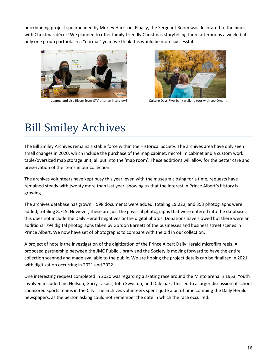bookbinding project spearheaded by Morley Harrison. Finally, the Sergeant Room was decorated to the nines with Christmas décor! We planned to offer family-friendly Christmas storytelling three afternoons a week, but only one group partook. In a "normal" year, we think this would be more successful!





Joanna and Lisa Risom from CTV after an interview! Culture Days Riverbank walking tour with Leo Omani.

# Bill Smiley Archives

The Bill Smiley Archives remains a stable force within the Historical Society. The archives area have only seen small changes in 2020, which include the purchase of the map cabinet, microfilm cabinet and a custom work table/oversized map storage unit, all put into the 'map room'. These additions will allow for the better care and preservation of the items in our collection.

The archives volunteers have kept busy this year, even with the museum closing for a time, requests have remained steady with twenty more than last year, showing us that the interest in Prince Albert's history is growing.

The archives database has grown… 598 documents were added, totaling 19,222, and 353 photographs were added, totaling 8,715. However, these are just the physical photographs that were entered into the database; this does not include the Daily Herald negatives or the digital photos. Donations have slowed but there were an additional 794 digital photographs taken by Gordon Barnett of the businesses and business street scenes in Prince Albert. We now have set of photographs to compare with the old in our collection.

A project of note is the investigation of the digitization of the Prince Albert Daily Herald microfilm reels. A proposed partnership between the JMC Public Library and the Society is moving forward to have the entire collection scanned and made available to the public. We are hoping the project details can be finalized in 2021, with digitization occurring in 2021 and 2022.

One interesting request completed in 2020 was regarding a skating race around the Minto arena in 1953. Youth involved included Jim Neilson, Garry Takacs, John Swystun, and Dale oak. This led to a larger discussion of school sponsored sports teams in the City. The archives volunteers spent quite a bit of time combing the Daily Herald newspapers, as the person asking could not remember the date in which the race occurred.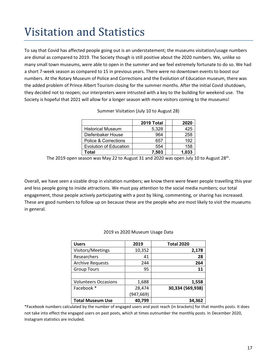# Visitation and Statistics

To say that Covid has affected people going out is an understatement; the museums visitation/usage numbers are dismal as compared to 2019. The Society though is still positive about the 2020 numbers. We, unlike so many small town museums, were able to open in the summer and we feel extremely fortunate to do so. We had a short 7-week season as compared to 15 in previous years. There were no downtown events to boost our numbers. At the Rotary Museum of Police and Corrections and the Evolution of Education museum, there was the added problem of Prince Albert Tourism closing for the summer months. After the initial Covid shutdown, they decided not to reopen; our interpreters were intrusted with a key to the building for weekend use. The Society is hopeful that 2021 will allow for a longer season with more visitors coming to the museums!

|                          | 2019 Total | 2020  |
|--------------------------|------------|-------|
| <b>Historical Museum</b> | 5,328      | 425   |
| Diefenbaker House        | 964        | 258   |
| Police & Corrections     | 657        | 192   |
| Evolution of Education   | 554        | 158   |
| Total                    | 7.503      | 1.033 |

Summer Visitation (July 10 to August 28)

The 2019 open season was May 22 to August 31 and 2020 was open July 10 to August  $28^{th}$ .

Overall, we have seen a sizable drop in visitation numbers; we know there were fewer people travelling this year and less people going to inside attractions. We must pay attention to the social media numbers; our total engagement, those people actively participating with a post by liking, commenting, or sharing has increased. These are good numbers to follow up on because these are the people who are most likely to visit the museums in general.

#### 2019 vs 2020 Museum Usage Data

| <b>Users</b>                | 2019       | <b>Total 2020</b> |
|-----------------------------|------------|-------------------|
| Visitors/Meetings           | 10,352     | 2,178             |
| Researchers                 | 41         | 28                |
| <b>Archive Requests</b>     | 244        | 264               |
| <b>Group Tours</b>          | 95         | 11                |
|                             |            |                   |
| <b>Volunteers Occasions</b> | 1,688      | 1,558             |
| Facebook *                  | 28,474     | 30,334 (569,938)  |
|                             | (947, 669) |                   |
| <b>Total Museum Use</b>     | 40,799     | 34,362            |

\*Facebook numbers calculated by the number of engaged users and post reach (in brackets) for that months posts. It does not take into effect the engaged users on past posts, which at times outnumber the monthly posts. In December 2020, Instagram statistics are included.